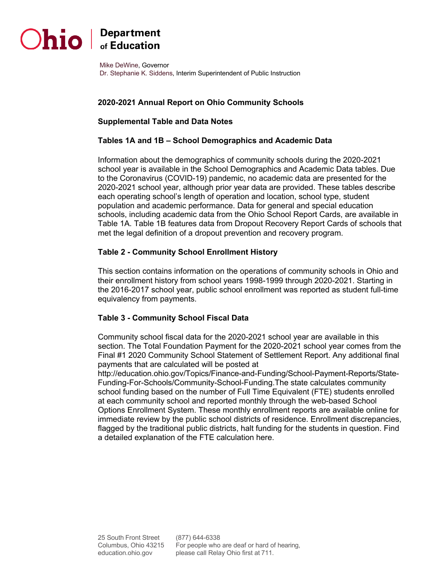

# $\sum$ hio  $\int_{\text{of Education}}^{\text{Department}}$

 Dr. Stephanie K. Siddens, Interim Superintendent of Public Instruction Mike DeWine, Governor

## **2020-2021 Annual Report on Ohio Community Schools**

## **Supplemental Table and Data Notes**

#### **Tables 1A and 1B – School Demographics and Academic Data**

 school year is available in the School Demographics and Academic Data tables. Due to the Coronavirus (COVID-19) pandemic, no academic data are presented for the 2020-2021 school year, although prior year data are provided. These tables describe each operating school's length of operation and location, school type, student population and academic performance. Data for general and special education schools, including academic data from the Ohio School Report Cards, are available in Table 1A. Table 1B features data from Dropout Recovery Report Cards of schools that met the legal definition of a dropout prevention and recovery program. Information about the demographics of community schools during the 2020-2021

## **Table 2 - Community School Enrollment History**

 the 2016-2017 school year, public school enrollment was reported as student full-time This section contains information on the operations of community schools in Ohio and their enrollment history from school years 1998-1999 through 2020-2021. Starting in equivalency from payments.

#### **Table 3 - Community School Fiscal Data**

 Community school fiscal data for the 2020-2021 school year are available in this section. The Total Foundation Payment for the 2020-2021 school year comes from the Final #1 2020 Community School Statement of Settlement Report. Any additional final payments that are calculated will be posted at

 Funding-For-Schools/Community-School-Funding.The state calculates community school funding based on the number of Full Time Equivalent (FTE) students enrolled Options Enrollment System. These monthly enrollment reports are available online for immediate review by the public school districts of residence. Enrollment discrepancies, a detailed explanation of the FTE calculation here. <http://education.ohio.gov/Topics/Finance-and-Funding/School-Payment-Reports/State>at each community school and reported monthly through the web-based School flagged by the traditional public districts, halt funding for the students in question. Find